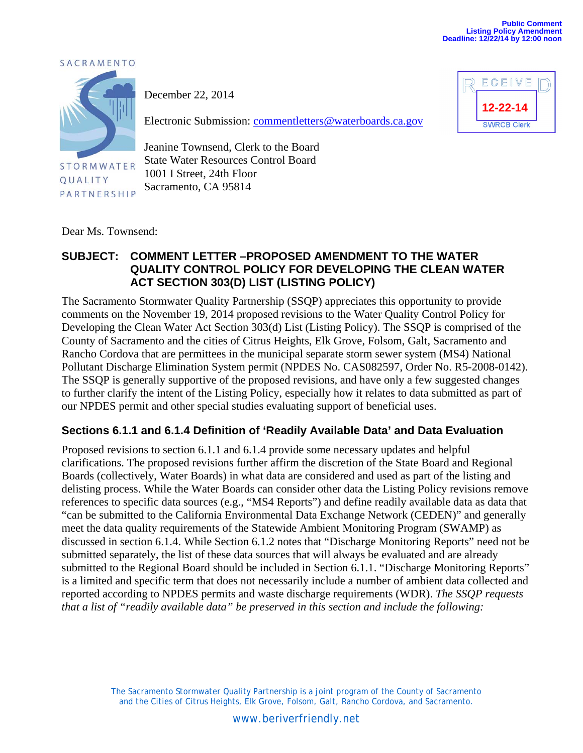**12-22-14**

**SWRCB Clerk** 

ECEIVE





**STORMWATER** QUALITY PARTNERSHIP

December 22, 2014

Electronic Submission: commentletters@waterboards.ca.gov

Jeanine Townsend, Clerk to the Board State Water Resources Control Board 1001 I Street, 24th Floor Sacramento, CA 95814

Dear Ms. Townsend:

## **SUBJECT: COMMENT LETTER –PROPOSED AMENDMENT TO THE WATER QUALITY CONTROL POLICY FOR DEVELOPING THE CLEAN WATER ACT SECTION 303(D) LIST (LISTING POLICY)**

The Sacramento Stormwater Quality Partnership (SSQP) appreciates this opportunity to provide comments on the November 19, 2014 proposed revisions to the Water Quality Control Policy for Developing the Clean Water Act Section 303(d) List (Listing Policy). The SSQP is comprised of the County of Sacramento and the cities of Citrus Heights, Elk Grove, Folsom, Galt, Sacramento and Rancho Cordova that are permittees in the municipal separate storm sewer system (MS4) National Pollutant Discharge Elimination System permit (NPDES No. CAS082597, Order No. R5-2008-0142). The SSQP is generally supportive of the proposed revisions, and have only a few suggested changes to further clarify the intent of the Listing Policy, especially how it relates to data submitted as part of our NPDES permit and other special studies evaluating support of beneficial uses.

## **Sections 6.1.1 and 6.1.4 Definition of 'Readily Available Data' and Data Evaluation**

Proposed revisions to section 6.1.1 and 6.1.4 provide some necessary updates and helpful clarifications. The proposed revisions further affirm the discretion of the State Board and Regional Boards (collectively, Water Boards) in what data are considered and used as part of the listing and delisting process. While the Water Boards can consider other data the Listing Policy revisions remove references to specific data sources (e.g., "MS4 Reports") and define readily available data as data that "can be submitted to the California Environmental Data Exchange Network (CEDEN)" and generally meet the data quality requirements of the Statewide Ambient Monitoring Program (SWAMP) as discussed in section 6.1.4. While Section 6.1.2 notes that "Discharge Monitoring Reports" need not be submitted separately, the list of these data sources that will always be evaluated and are already submitted to the Regional Board should be included in Section 6.1.1. "Discharge Monitoring Reports" is a limited and specific term that does not necessarily include a number of ambient data collected and reported according to NPDES permits and waste discharge requirements (WDR). *The SSQP requests that a list of "readily available data" be preserved in this section and include the following:* 

> The Sacramento Stormwater Quality Partnership is a joint program of the County of Sacramento and the Cities of Citrus Heights, Elk Grove, Folsom, Galt, Rancho Cordova, and Sacramento.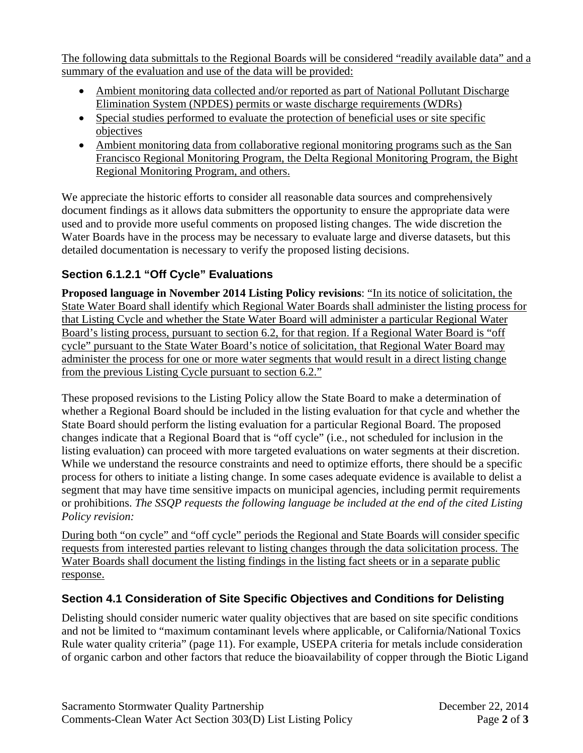The following data submittals to the Regional Boards will be considered "readily available data" and a summary of the evaluation and use of the data will be provided:

- Ambient monitoring data collected and/or reported as part of National Pollutant Discharge Elimination System (NPDES) permits or waste discharge requirements (WDRs)
- Special studies performed to evaluate the protection of beneficial uses or site specific objectives
- Ambient monitoring data from collaborative regional monitoring programs such as the San Francisco Regional Monitoring Program, the Delta Regional Monitoring Program, the Bight Regional Monitoring Program, and others.

We appreciate the historic efforts to consider all reasonable data sources and comprehensively document findings as it allows data submitters the opportunity to ensure the appropriate data were used and to provide more useful comments on proposed listing changes. The wide discretion the Water Boards have in the process may be necessary to evaluate large and diverse datasets, but this detailed documentation is necessary to verify the proposed listing decisions.

## **Section 6.1.2.1 "Off Cycle" Evaluations**

**Proposed language in November 2014 Listing Policy revisions**: "In its notice of solicitation, the State Water Board shall identify which Regional Water Boards shall administer the listing process for that Listing Cycle and whether the State Water Board will administer a particular Regional Water Board's listing process, pursuant to section 6.2, for that region. If a Regional Water Board is "off cycle" pursuant to the State Water Board's notice of solicitation, that Regional Water Board may administer the process for one or more water segments that would result in a direct listing change from the previous Listing Cycle pursuant to section 6.2."

These proposed revisions to the Listing Policy allow the State Board to make a determination of whether a Regional Board should be included in the listing evaluation for that cycle and whether the State Board should perform the listing evaluation for a particular Regional Board. The proposed changes indicate that a Regional Board that is "off cycle" (i.e., not scheduled for inclusion in the listing evaluation) can proceed with more targeted evaluations on water segments at their discretion. While we understand the resource constraints and need to optimize efforts, there should be a specific process for others to initiate a listing change. In some cases adequate evidence is available to delist a segment that may have time sensitive impacts on municipal agencies, including permit requirements or prohibitions. *The SSQP requests the following language be included at the end of the cited Listing Policy revision:* 

During both "on cycle" and "off cycle" periods the Regional and State Boards will consider specific requests from interested parties relevant to listing changes through the data solicitation process. The Water Boards shall document the listing findings in the listing fact sheets or in a separate public response.

## **Section 4.1 Consideration of Site Specific Objectives and Conditions for Delisting**

Delisting should consider numeric water quality objectives that are based on site specific conditions and not be limited to "maximum contaminant levels where applicable, or California/National Toxics Rule water quality criteria" (page 11). For example, USEPA criteria for metals include consideration of organic carbon and other factors that reduce the bioavailability of copper through the Biotic Ligand